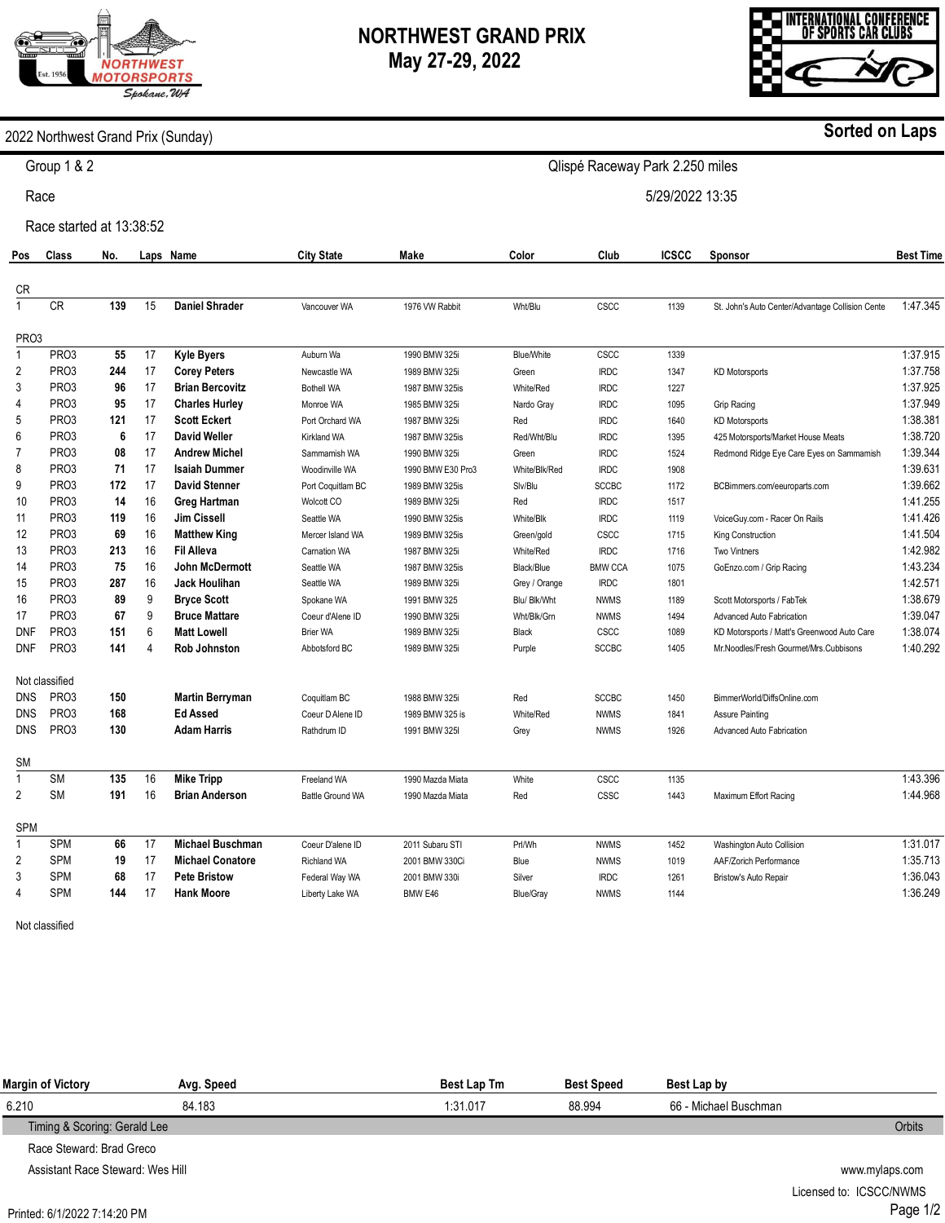# **ORTHWEST MOTORSPORTS** Spokane, WA

## **NORTHWEST GRAND PRIX May 27-29, 2022**

Qlispé Raceway Park 2.250 miles

5/29/2022 13:35



#### 2022 Northwest Grand Prix (Sunday)

Group 1 & 2

Race

Race started at 13:38:52

| Pos               | Class             | No. |          | Laps Name               | <b>City State</b>  | Make              | Color            | Club           | <b>ICSCC</b> | Sponsor                                          | <b>Best Time</b> |
|-------------------|-------------------|-----|----------|-------------------------|--------------------|-------------------|------------------|----------------|--------------|--------------------------------------------------|------------------|
| CR                |                   |     |          |                         |                    |                   |                  |                |              |                                                  |                  |
| $\mathbf{1}$      | <b>CR</b>         | 139 | 15       | <b>Daniel Shrader</b>   | Vancouver WA       | 1976 VW Rabbit    | Wht/Blu          | CSCC           | 1139         | St. John's Auto Center/Advantage Collision Cente | 1:47.345         |
| PR <sub>O</sub> 3 |                   |     |          |                         |                    |                   |                  |                |              |                                                  |                  |
| $\mathbf{1}$      | PR <sub>O</sub> 3 | 55  | 17       | <b>Kyle Byers</b>       | Auburn Wa          | 1990 BMW 325i     | Blue/White       | CSCC           | 1339         |                                                  | 1:37.915         |
| 2                 | PR <sub>O</sub> 3 | 244 | 17       | <b>Corey Peters</b>     | Newcastle WA       | 1989 BMW 325i     | Green            | <b>IRDC</b>    | 1347         | <b>KD Motorsports</b>                            | 1:37.758         |
| 3                 | PR <sub>O</sub> 3 | 96  | 17       | <b>Brian Bercovitz</b>  | <b>Bothell WA</b>  | 1987 BMW 325is    | White/Red        | <b>IRDC</b>    | 1227         |                                                  | 1:37.925         |
| 4                 | PR <sub>O</sub> 3 | 95  | 17       | <b>Charles Hurley</b>   | Monroe WA          | 1985 BMW 325i     | Nardo Gray       | <b>IRDC</b>    | 1095         | Grip Racing                                      | 1:37.949         |
| 5                 | PR <sub>O</sub> 3 | 121 | 17       | <b>Scott Eckert</b>     | Port Orchard WA    | 1987 BMW 325i     | Red              | <b>IRDC</b>    | 1640         | <b>KD Motorsports</b>                            | 1:38.381         |
| 6                 | PR <sub>O</sub> 3 | 6   | 17       | David Weller            | <b>Kirkland WA</b> | 1987 BMW 325is    | Red/Wht/Blu      | <b>IRDC</b>    | 1395         | 425 Motorsports/Market House Meats               | 1:38.720         |
| $\overline{7}$    | PR <sub>O</sub> 3 | 08  | 17       | <b>Andrew Michel</b>    | Sammamish WA       | 1990 BMW 325i     | Green            | <b>IRDC</b>    | 1524         | Redmond Ridge Eye Care Eyes on Sammamish         | 1:39.344         |
| 8                 | PR <sub>O</sub> 3 | 71  | 17       | <b>Isaiah Dummer</b>    | Woodinville WA     | 1990 BMW E30 Pro3 | White/Blk/Red    | <b>IRDC</b>    | 1908         |                                                  | 1:39.631         |
| 9                 | PR <sub>O</sub> 3 | 172 | 17       | <b>David Stenner</b>    | Port Coquitlam BC  | 1989 BMW 325is    | Slv/Blu          | <b>SCCBC</b>   | 1172         | BCBimmers.com/eeuroparts.com                     | 1:39.662         |
| 10                | PR <sub>O</sub> 3 | 14  | 16       | Greg Hartman            | Wolcott CO         | 1989 BMW 325i     | Red              | <b>IRDC</b>    | 1517         |                                                  | 1:41.255         |
| 11                | PR <sub>O</sub> 3 | 119 | 16       | Jim Cissell             | Seattle WA         | 1990 BMW 325is    | White/Blk        | <b>IRDC</b>    | 1119         | VoiceGuy.com - Racer On Rails                    | 1:41.426         |
| 12                | PR <sub>O</sub> 3 | 69  | 16       | <b>Matthew King</b>     | Mercer Island WA   | 1989 BMW 325is    | Green/gold       | CSCC           | 1715         | King Construction                                | 1:41.504         |
| 13                | PR <sub>O</sub> 3 | 213 | 16       | <b>Fil Alleva</b>       | Carnation WA       | 1987 BMW 325i     | White/Red        | <b>IRDC</b>    | 1716         | <b>Two Vintners</b>                              | 1:42.982         |
| 14                | PR <sub>O</sub> 3 | 75  | 16       | John McDermott          | Seattle WA         | 1987 BMW 325is    | Black/Blue       | <b>BMW CCA</b> | 1075         | GoEnzo.com / Grip Racing                         | 1:43.234         |
| 15                | PR <sub>O</sub> 3 | 287 | 16       | <b>Jack Houlihan</b>    | Seattle WA         | 1989 BMW 325i     | Grey / Orange    | <b>IRDC</b>    | 1801         |                                                  | 1:42.571         |
| 16                | PR <sub>O</sub> 3 | 89  | 9        | <b>Bryce Scott</b>      | Spokane WA         | 1991 BMW 325      | Blu/ Blk/Wht     | <b>NWMS</b>    | 1189         | Scott Motorsports / FabTek                       | 1:38.679         |
| 17                | PR <sub>O</sub> 3 | 67  | 9        | <b>Bruce Mattare</b>    | Coeur d'Alene ID   | 1990 BMW 325i     | Wht/Blk/Grn      | <b>NWMS</b>    | 1494         | Advanced Auto Fabrication                        | 1:39.047         |
| <b>DNF</b>        | PR <sub>O</sub> 3 | 151 | 6        | <b>Matt Lowell</b>      | <b>Brier WA</b>    | 1989 BMW 325i     | Black            | CSCC           | 1089         | KD Motorsports / Matt's Greenwood Auto Care      | 1:38.074         |
| <b>DNF</b>        | PR <sub>O</sub> 3 | 141 | $\Delta$ | <b>Rob Johnston</b>     | Abbotsford BC      | 1989 BMW 325i     | Purple           | <b>SCCBC</b>   | 1405         | Mr.Noodles/Fresh Gourmet/Mrs.Cubbisons           | 1:40.292         |
|                   | Not classified    |     |          |                         |                    |                   |                  |                |              |                                                  |                  |
| <b>DNS</b>        | PR <sub>O</sub> 3 | 150 |          | <b>Martin Berryman</b>  | Coquitlam BC       | 1988 BMW 325i     | Red              | <b>SCCBC</b>   | 1450         | BimmerWorld/DiffsOnline.com                      |                  |
| <b>DNS</b>        | PR <sub>O</sub> 3 | 168 |          | <b>Ed Assed</b>         | Coeur D Alene ID   | 1989 BMW 325 is   | White/Red        | <b>NWMS</b>    | 1841         | <b>Assure Painting</b>                           |                  |
| <b>DNS</b>        | PR <sub>O</sub> 3 | 130 |          | <b>Adam Harris</b>      | Rathdrum ID        | 1991 BMW 325I     | Grey             | <b>NWMS</b>    | 1926         | <b>Advanced Auto Fabrication</b>                 |                  |
| SΜ                |                   |     |          |                         |                    |                   |                  |                |              |                                                  |                  |
| $\overline{1}$    | <b>SM</b>         | 135 | 16       | <b>Mike Tripp</b>       | Freeland WA        | 1990 Mazda Miata  | White            | <b>CSCC</b>    | 1135         |                                                  | 1:43.396         |
| $\overline{2}$    | <b>SM</b>         | 191 | 16       | <b>Brian Anderson</b>   | Battle Ground WA   | 1990 Mazda Miata  | Red              | <b>CSSC</b>    | 1443         | Maximum Effort Racing                            | 1:44.968         |
| <b>SPM</b>        |                   |     |          |                         |                    |                   |                  |                |              |                                                  |                  |
| $\mathbf{1}$      | SPM               | 66  | 17       | <b>Michael Buschman</b> | Coeur D'alene ID   | 2011 Subaru STI   | Prl/Wh           | <b>NWMS</b>    | 1452         | Washington Auto Collision                        | 1:31.017         |
| 2                 | <b>SPM</b>        | 19  | 17       | <b>Michael Conatore</b> | Richland WA        | 2001 BMW 330Ci    | Blue             | <b>NWMS</b>    | 1019         | AAF/Zorich Performance                           | 1:35.713         |
| 3                 | <b>SPM</b>        | 68  | 17       | <b>Pete Bristow</b>     | Federal Way WA     | 2001 BMW 330i     | Silver           | <b>IRDC</b>    | 1261         | Bristow's Auto Repair                            | 1:36.043         |
| 4                 | <b>SPM</b>        | 144 | 17       | <b>Hank Moore</b>       | Liberty Lake WA    | BMW E46           | <b>Blue/Gray</b> | <b>NWMS</b>    | 1144         |                                                  | 1:36.249         |
|                   |                   |     |          |                         |                    |                   |                  |                |              |                                                  |                  |

Not classified

| Margin of Victory            | Avg. Speed | <b>Best Lap Tm</b> | <b>Best Speed</b> | Best Lap by           |               |
|------------------------------|------------|--------------------|-------------------|-----------------------|---------------|
| 6.210                        | 84.183     | 1:31.017           | 88.994            | 66 - Michael Buschman |               |
| Timing & Scoring: Gerald Lee |            |                    |                   |                       | <b>Orbits</b> |
| Race Steward: Brad Greco     |            |                    |                   |                       |               |

Assistant Race Steward: Wes Hill

Printed: 6/1/2022 7:14:20 PM

www.mylaps.com Licensed to: ICSCC/NWMS Page 1/2

### **Sorted on Laps**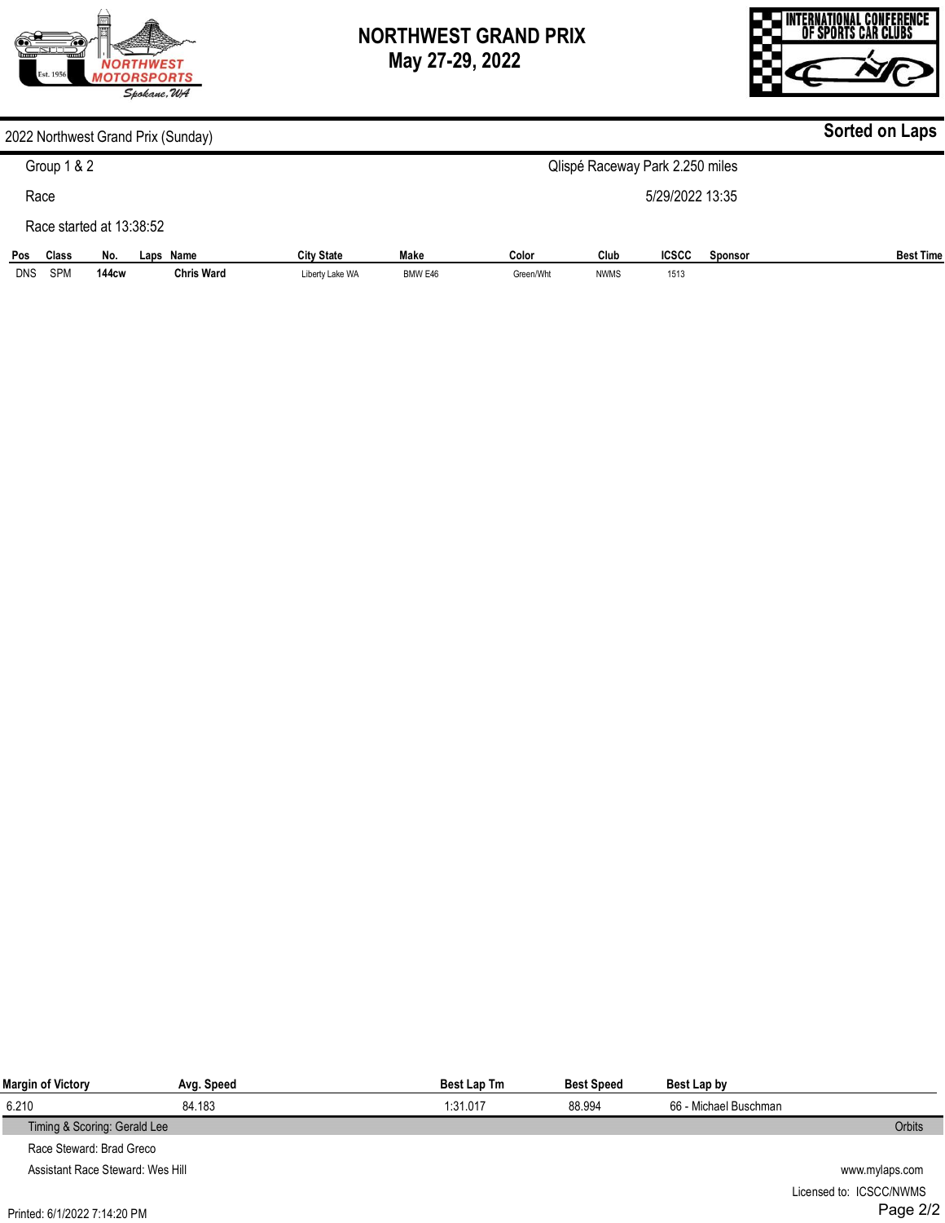

**144cw** 

**Chris Ward** 

DNS

SPM

## **NORTHWEST GRAND PRIX May 27-29, 2022**



#### **Pos Class No. Laps Name City State Make Color Club ICSCC Sponsor** Best Time **Sorted on Laps** 2022 Northwest Grand Prix (Sunday) Group 1 & 2 Race Race started at 13:38:52 Qlispé Raceway Park 2.250 miles 5/29/2022 13:35

Green/Wht

NWMS

1513

BMW E46

Liberty Lake WA

| Margin of Victory                | Avg. Speed | Best Lap Tm | <b>Best Speed</b> | Best Lap by           |                |
|----------------------------------|------------|-------------|-------------------|-----------------------|----------------|
| 6.210                            | 84.183     | 1:31.017    | 88.994            | 66 - Michael Buschman |                |
| Timing & Scoring: Gerald Lee     |            |             |                   |                       | Orbits         |
| Race Steward: Brad Greco         |            |             |                   |                       |                |
| Assistant Race Steward: Wes Hill |            |             |                   |                       | www.mylaps.com |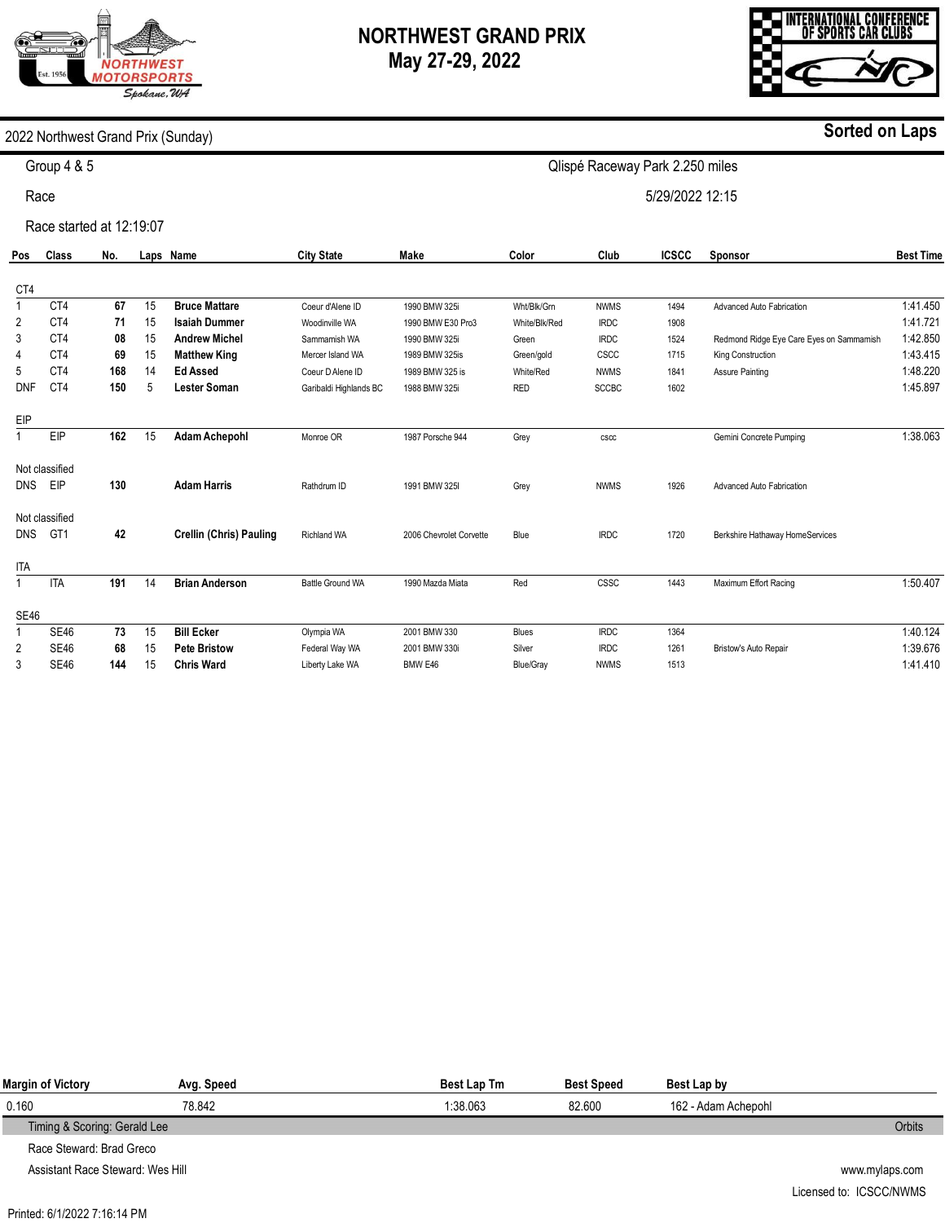# **ORTHWEST MOTORSPORTS** Spokane, WA

## **NORTHWEST GRAND PRIX May 27-29, 2022**

Qlispé Raceway Park 2.250 miles

5/29/2022 12:15



#### 2022 Northwest Grand Prix (Sunday)

Group 4 & 5

Race

Race started at 12:19:07

| Pos         | Class           | No. |    | Laps Name                      | <b>City State</b>      | Make                    | Color            | Club         | <b>ICSCC</b> | <b>Sponsor</b>                           | <b>Best Time</b> |
|-------------|-----------------|-----|----|--------------------------------|------------------------|-------------------------|------------------|--------------|--------------|------------------------------------------|------------------|
| CT4         |                 |     |    |                                |                        |                         |                  |              |              |                                          |                  |
|             | CT4             | 67  | 15 | <b>Bruce Mattare</b>           | Coeur d'Alene ID       | 1990 BMW 325i           | Wht/Blk/Grn      | <b>NWMS</b>  | 1494         | Advanced Auto Fabrication                | 1:41.450         |
| 2           | CT4             | 71  | 15 | <b>Isaiah Dummer</b>           | Woodinville WA         | 1990 BMW E30 Pro3       | White/Blk/Red    | <b>IRDC</b>  | 1908         |                                          | 1:41.721         |
| 3           | CT4             | 08  | 15 | <b>Andrew Michel</b>           | Sammamish WA           | 1990 BMW 325i           | Green            | <b>IRDC</b>  | 1524         | Redmond Ridge Eye Care Eyes on Sammamish | 1:42.850         |
| 4           | CT4             | 69  | 15 | <b>Matthew King</b>            | Mercer Island WA       | 1989 BMW 325is          | Green/gold       | CSCC         | 1715         | King Construction                        | 1:43.415         |
| 5           | CT4             | 168 | 14 | <b>Ed Assed</b>                | Coeur D Alene ID       | 1989 BMW 325 is         | White/Red        | <b>NWMS</b>  | 1841         | <b>Assure Painting</b>                   | 1:48.220         |
| <b>DNF</b>  | CT4             | 150 | 5  | <b>Lester Soman</b>            | Garibaldi Highlands BC | 1988 BMW 325i           | <b>RED</b>       | <b>SCCBC</b> | 1602         |                                          | 1:45.897         |
| EIP         |                 |     |    |                                |                        |                         |                  |              |              |                                          |                  |
|             | EIP             | 162 | 15 | <b>Adam Achepohl</b>           | Monroe OR              | 1987 Porsche 944        | Grey             | cscc         |              | Gemini Concrete Pumping                  | 1:38.063         |
|             | Not classified  |     |    |                                |                        |                         |                  |              |              |                                          |                  |
| <b>DNS</b>  | EIP             | 130 |    | <b>Adam Harris</b>             | Rathdrum ID            | 1991 BMW 325I           | Grey             | <b>NWMS</b>  | 1926         | Advanced Auto Fabrication                |                  |
|             | Not classified  |     |    |                                |                        |                         |                  |              |              |                                          |                  |
| <b>DNS</b>  | GT <sub>1</sub> | 42  |    | <b>Crellin (Chris) Pauling</b> | <b>Richland WA</b>     | 2006 Chevrolet Corvette | Blue             | <b>IRDC</b>  | 1720         | Berkshire Hathaway HomeServices          |                  |
| <b>ITA</b>  |                 |     |    |                                |                        |                         |                  |              |              |                                          |                  |
|             | <b>ITA</b>      | 191 | 14 | <b>Brian Anderson</b>          | Battle Ground WA       | 1990 Mazda Miata        | Red              | CSSC         | 1443         | Maximum Effort Racing                    | 1:50.407         |
| <b>SE46</b> |                 |     |    |                                |                        |                         |                  |              |              |                                          |                  |
|             | <b>SE46</b>     | 73  | 15 | <b>Bill Ecker</b>              | Olympia WA             | 2001 BMW 330            | <b>Blues</b>     | <b>IRDC</b>  | 1364         |                                          | 1:40.124         |
| 2           | <b>SE46</b>     | 68  | 15 | <b>Pete Bristow</b>            | Federal Way WA         | 2001 BMW 330i           | Silver           | <b>IRDC</b>  | 1261         | Bristow's Auto Repair                    | 1:39.676         |
| 3           | <b>SE46</b>     | 144 | 15 | <b>Chris Ward</b>              | Liberty Lake WA        | BMW E46                 | <b>Blue/Gray</b> | <b>NWMS</b>  | 1513         |                                          | 1:41.410         |
|             |                 |     |    |                                |                        |                         |                  |              |              |                                          |                  |

| Margin of Victory            | Avg. Speed | Best Lap Tm | <b>Best Speed</b> | Best Lap by         |               |
|------------------------------|------------|-------------|-------------------|---------------------|---------------|
| 0.160                        | 78.842     | 1:38.063    | 82.600            | 162 - Adam Achepohl |               |
| Timing & Scoring: Gerald Lee |            |             |                   |                     | <b>Orbits</b> |
| Race Steward: Brad Greco     |            |             |                   |                     |               |

Assistant Race Steward: Wes Hill

**Sorted on Laps**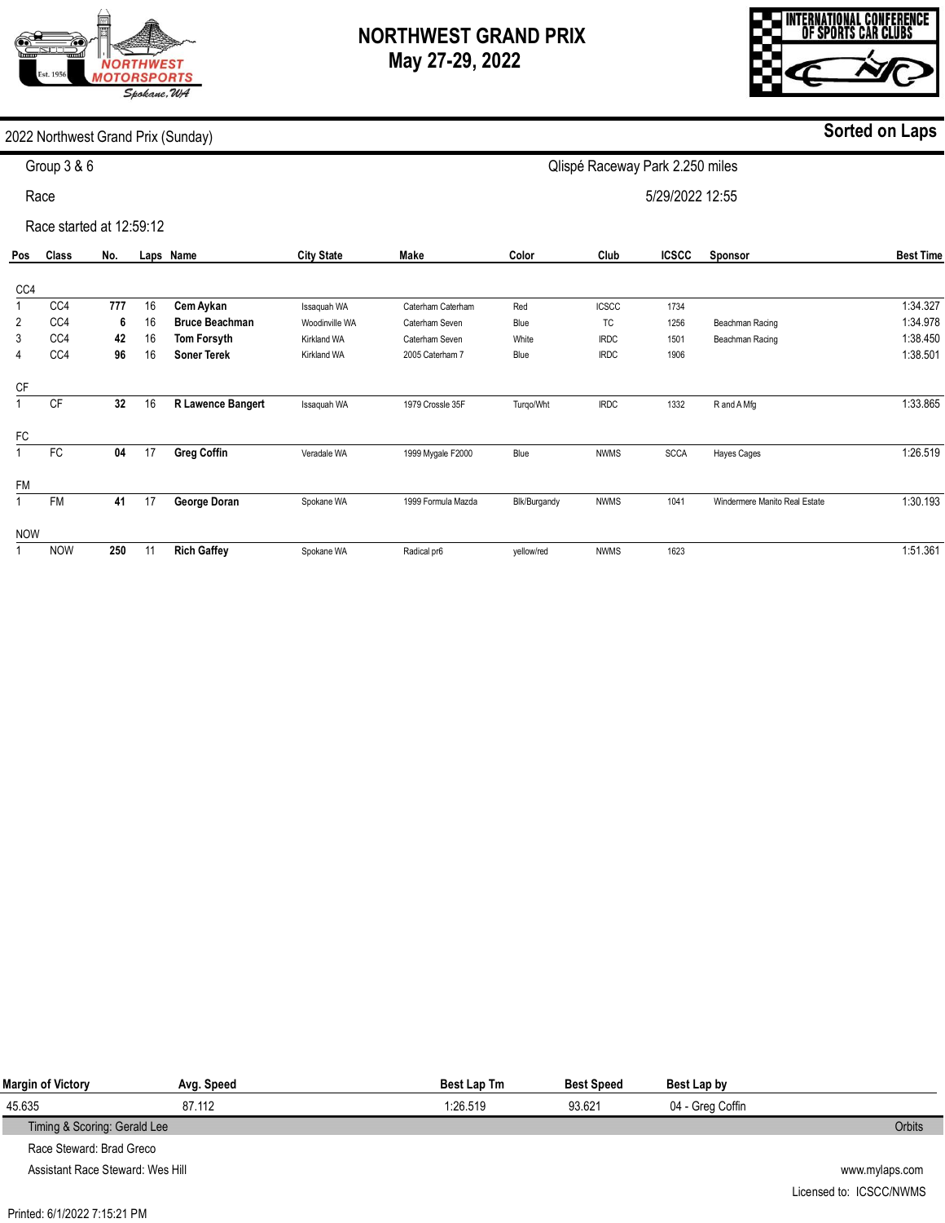## **NORTHWEST GRAND PRIX May 27-29, 2022**

INTERNATIONAL CONFERENCE<br>Of Sports Car Clubs

**Sorted on Laps**

#### 2022 Northwest Grand Prix (Sunday)

**ORTHWEST IOTORSPORTS** Spokane, WA

| Group 3 & 6 |  |
|-------------|--|

Race

Race started at 12:59:12

| Pos            | <b>Class</b> | No. |    | Laps Name             | <b>City State</b>  | Make               | Color        | Club         | <b>ICSCC</b> | Sponsor                       | <b>Best Time</b> |
|----------------|--------------|-----|----|-----------------------|--------------------|--------------------|--------------|--------------|--------------|-------------------------------|------------------|
|                |              |     |    |                       |                    |                    |              |              |              |                               |                  |
| CC4            |              |     |    |                       |                    |                    |              |              |              |                               |                  |
|                | CC4          | 777 | 16 | Cem Aykan             | Issaquah WA        | Caterham Caterham  | Red          | <b>ICSCC</b> | 1734         |                               | 1:34.327         |
| 2              | CC4          | 6   | 16 | <b>Bruce Beachman</b> | Woodinville WA     | Caterham Seven     | Blue         | TC           | 1256         | Beachman Racing               | 1:34.978         |
| 3              | CC4          | 42  | 16 | Tom Forsyth           | Kirkland WA        | Caterham Seven     | White        | <b>IRDC</b>  | 1501         | Beachman Racing               | 1:38.450         |
| 4              | CC4          | 96  | 16 | <b>Soner Terek</b>    | <b>Kirkland WA</b> | 2005 Caterham 7    | Blue         | <b>IRDC</b>  | 1906         |                               | 1:38.501         |
| <b>CF</b>      |              |     |    |                       |                    |                    |              |              |              |                               |                  |
|                | CF           | 32  | 16 | R Lawence Bangert     | Issaquah WA        | 1979 Crossle 35F   | Turgo/Wht    | <b>IRDC</b>  | 1332         | R and A Mfg                   | 1:33.865         |
| FC             |              |     |    |                       |                    |                    |              |              |              |                               |                  |
|                | FC           | 04  | 17 | <b>Greg Coffin</b>    | Veradale WA        | 1999 Mygale F2000  | Blue         | <b>NWMS</b>  | <b>SCCA</b>  | <b>Hayes Cages</b>            | 1:26.519         |
| <b>FM</b>      |              |     |    |                       |                    |                    |              |              |              |                               |                  |
| $\overline{A}$ | <b>FM</b>    | 41  | 17 | George Doran          | Spokane WA         | 1999 Formula Mazda | Blk/Burgandy | <b>NWMS</b>  | 1041         | Windermere Manito Real Estate | 1:30.193         |
| <b>NOW</b>     |              |     |    |                       |                    |                    |              |              |              |                               |                  |
|                | <b>NOW</b>   | 250 | 11 | <b>Rich Gaffey</b>    | Spokane WA         | Radical pr6        | yellow/red   | <b>NWMS</b>  | 1623         |                               | 1:51.361         |

Qlispé Raceway Park 2.250 miles

5/29/2022 12:55

| Margin of Victory                | Avg. Speed | <b>Best Lap Tm</b> | <b>Best Speed</b> | Best Lap by      |                |
|----------------------------------|------------|--------------------|-------------------|------------------|----------------|
| 45.635                           | 87.112     | 1:26.519           | 93.621            | 04 - Greg Coffin |                |
| Timing & Scoring: Gerald Lee     |            |                    |                   |                  | <b>Orbits</b>  |
| Race Steward: Brad Greco         |            |                    |                   |                  |                |
| Assistant Race Steward: Wes Hill |            |                    |                   |                  | www.mylaps.com |